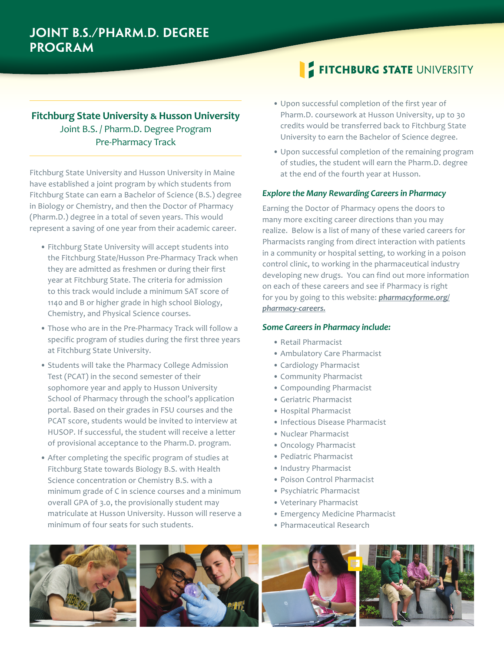# **Fitchburg State University � Husson University** Joint B.S. / Pharm.D. Degree Program Pre-Pharmacy Track

Fitchburg State University and Husson University in Maine have established a joint program by which students from Fitchburg State can earn a Bachelor of Science (B.S.) degree in Biology or Chemistry, and then the Doctor of Pharmacy (Pharm.D.) degree in a total of seven years. This would represent a saving of one year from their academic career.

- Fitchburg State University will accept students into the Fitchburg State/Husson Pre-Pharmacy Track when they are admitted as freshmen or during their first year at Fitchburg State. The criteria for admission to this track would include a minimum SAT score of 1140 and B or higher grade in high school Biology, Chemistry, and Physical Science courses.
- Those who are in the Pre-Pharmacy Track will follow a specific program of studies during the first three years at Fitchburg State University.
- Students will take the Pharmacy College Admission Test (PCAT) in the second semester of their sophomore year and apply to Husson University School of Pharmacy through the school's application portal. Based on their grades in FSU courses and the PCAT score, students would be invited to interview at HUSOP. If successful, the student will receive a letter of provisional acceptance to the Pharm.D. program.
- After completing the specific program of studies at Fitchburg State towards Biology B.S. with Health Science concentration or Chemistry B.S. with a minimum grade of C in science courses and a minimum overall GPA of 3.0, the provisionally student may matriculate at Husson University. Husson will reserve a minimum of four seats for such students.

# **FITCHBURG STATE UNIVERSITY**

- Upon successful completion of the first year of Pharm.D. coursework at Husson University, up to 30 credits would be transferred back to Fitchburg State University to earn the Bachelor of Science degree.
- Upon successful completion of the remaining program of studies, the student will earn the Pharm.D. degree at the end of the fourth year at Husson.

# *Explore the Many Rewarding Careers in Pharmacy*

Earning the Doctor of Pharmacy opens the doors to many more exciting career directions than you may realize. Below is a list of many of these varied careers for Pharmacists ranging from direct interaction with patients in a community or hospital setting, to working in a poison control clinic, to working in the pharmaceutical industry developing new drugs. You can find out more information on each of these careers and see if Pharmacy is right for you by going to this website: *pharmacyforme.org/ pharmacy-careers.*

### *Some Careers in Pharmacy include:*

- Retail Pharmacist
- Ambulatory Care Pharmacist
- Cardiology Pharmacist
- Community Pharmacist
- Compounding Pharmacist
- Geriatric Pharmacist
- Hospital Pharmacist
- Infectious Disease Pharmacist
- Nuclear Pharmacist
- Oncology Pharmacist
- Pediatric Pharmacist
- Industry Pharmacist
- Poison Control Pharmacist
- Psychiatric Pharmacist
- Veterinary Pharmacist
- Emergency Medicine Pharmacist
- Pharmaceutical Research